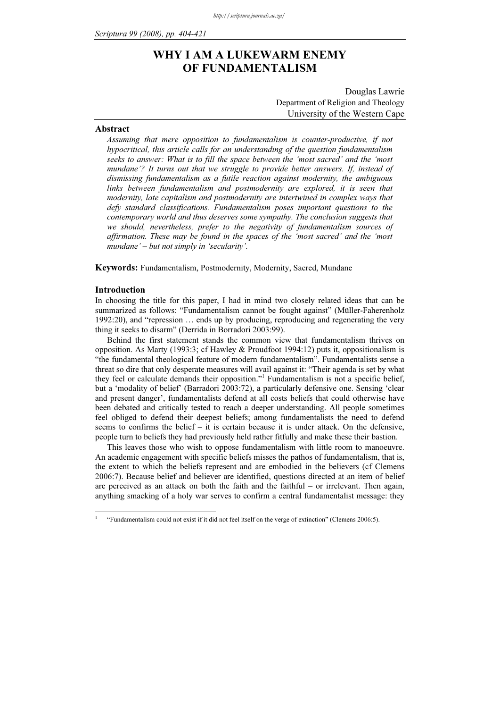# WHY I AM A LUKEWARM ENEMY OF FUNDAMENTALISM

Department of Religion and Theology University of the Western Cape

#### Abstract

Assuming that mere opposition to fundamentalism is counter-productive, if not hypocritical, this article calls for an understanding of the question fundamentalism seeks to answer: What is to fill the space between the 'most sacred' and the 'most mundane'? It turns out that we struggle to provide better answers. If, instead of dismissing fundamentalism as a futile reaction against modernity, the ambiguous links between fundamentalism and postmodernity are explored, it is seen that modernity, late capitalism and postmodernity are intertwined in complex ways that defy standard classifications. Fundamentalism poses important questions to the contemporary world and thus deserves some sympathy. The conclusion suggests that we should, nevertheless, prefer to the negativity of fundamentalism sources of affirmation. These may be found in the spaces of the 'most sacred' and the 'most mundane' – but not simply in 'secularity'.

Keywords: Fundamentalism, Postmodernity, Modernity, Sacred, Mundane

#### Introduction

-1

In choosing the title for this paper, I had in mind two closely related ideas that can be summarized as follows: "Fundamentalism cannot be fought against" (Müller-Faherenholz 1992:20), and "repression … ends up by producing, reproducing and regenerating the very thing it seeks to disarm" (Derrida in Borradori 2003:99).

Behind the first statement stands the common view that fundamentalism thrives on opposition. As Marty (1993:3; cf Hawley & Proudfoot 1994:12) puts it, oppositionalism is "the fundamental theological feature of modern fundamentalism". Fundamentalists sense a threat so dire that only desperate measures will avail against it: "Their agenda is set by what they feel or calculate demands their opposition."<sup>1</sup> Fundamentalism is not a specific belief, but a 'modality of belief' (Barradori 2003:72), a particularly defensive one. Sensing 'clear and present danger', fundamentalists defend at all costs beliefs that could otherwise have been debated and critically tested to reach a deeper understanding. All people sometimes feel obliged to defend their deepest beliefs; among fundamentalists the need to defend seems to confirms the belief – it is certain because it is under attack. On the defensive, people turn to beliefs they had previously held rather fitfully and make these their bastion.

This leaves those who wish to oppose fundamentalism with little room to manoeuvre. An academic engagement with specific beliefs misses the pathos of fundamentalism, that is, the extent to which the beliefs represent and are embodied in the believers (cf Clemens 2006:7). Because belief and believer are identified, questions directed at an item of belief are perceived as an attack on both the faith and the faithful – or irrelevant. Then again, anything smacking of a holy war serves to confirm a central fundamentalist message: they

 <sup>&</sup>quot;Fundamentalism could not exist if it did not feel itself on the verge of extinction" (Clemens 2006:5).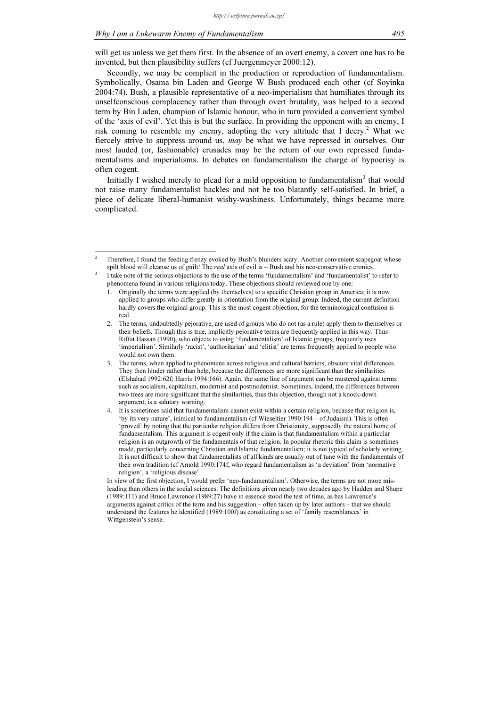-

will get us unless we get them first. In the absence of an overt enemy, a covert one has to be invented, but then plausibility suffers (cf Juergenmeyer 2000:12).

Secondly, we may be complicit in the production or reproduction of fundamentalism. Symbolically, Osama bin Laden and George W Bush produced each other (cf Soyinka 2004:74). Bush, a plausible representative of a neo-imperialism that humiliates through its unselfconscious complacency rather than through overt brutality, was helped to a second term by Bin Laden, champion of Islamic honour, who in turn provided a convenient symbol of the 'axis of evil'. Yet this is but the surface. In providing the opponent with an enemy, I risk coming to resemble my enemy, adopting the very attitude that I decry.<sup>2</sup> What we fiercely strive to suppress around us, may be what we have repressed in ourselves. Our most lauded (or, fashionable) crusades may be the return of our own repressed fundamentalisms and imperialisms. In debates on fundamentalism the charge of hypocrisy is often cogent.

Initially I wished merely to plead for a mild opposition to fundamentalism<sup>3</sup> that would not raise many fundamentalist hackles and not be too blatantly self-satisfied. In brief, a piece of delicate liberal-humanist wishy-washiness. Unfortunately, things became more complicated.

In view of the first objection, I would prefer 'neo-fundamentalism'. Otherwise, the terms are not more misleading than others in the social sciences. The definitions given nearly two decades ago by Hadden and Shupe (1989:111) and Bruce Lawrence (1989:27) have in essence stood the test of time, as has Lawrence's arguments against critics of the term and his suggestion – often taken up by later authors – that we should understand the features he identified (1989:100f) as constituting a set of 'family resemblances' in Wittgenstein's sense.

 $\overline{2}$  Therefore, I found the feeding frenzy evoked by Bush's blunders scary. Another convenient scapegoat whose spilt blood will cleanse us of guilt! The *real* axis of evil is  $-$  Bush and his neo-conservative cronies. 3

I take note of the serious objections to the use of the terms 'fundamentalism' and 'fundamentalist' to refer to phenomena found in various religions today. These objections should reviewed one by one:

<sup>1.</sup> Originally the terms were applied (by themselves) to a specific Christian group in America; it is now applied to groups who differ greatly in orientation from the original group. Indeed, the current definition hardly covers the original group. This is the most cogent objection, for the terminological confusion is real.

<sup>2.</sup> The terms, undoubtedly pejorative, are used of groups who do not (as a rule) apply them to themselves or their beliefs. Though this is true, implicitly pejorative terms are frequently applied in this way. Thus Riffat Hassan (1990), who objects to using 'fundamentalism' of Islamic groups, frequently uses 'imperialism'. Similarly 'racist', 'authoritarian' and 'elitist' are terms frequently applied to people who would not own them.

<sup>3.</sup> The terms, when applied to phenomena across religious and cultural barriers, obscure vital differences. They then hinder rather than help, because the differences are more significant than the similarities (Elshahad 1992:62f; Harris 1994:166). Again, the same line of argument can be mustered against terms such as socialism, capitalism, modernist and postmodernist. Sometimes, indeed, the differences between two trees are more significant that the similarities, thus this objection, though not a knock-down argument, is a salutary warning.

<sup>4.</sup> It is sometimes said that fundamentalism cannot exist within a certain religion, because that religion is, 'by its very nature', inimical to fundamentalism (cf Wieseltier 1990:194 – of Judaism). This is often 'proved' by noting that the particular religion differs from Christianity, supposedly the natural home of fundamentalism. This argument is cogent only if the claim is that fundamentalism within a particular religion is an outgrowth of the fundamentals of that religion. In popular rhetoric this claim is sometimes made, particularly concerning Christian and Islamic fundamentalism; it is not typical of scholarly writing. It is not difficult to show that fundamentalists of all kinds are usually out of tune with the fundamentals of their own tradition (cf Arnold 1990:174f, who regard fundamentalism as 'a deviation' from 'normative religion', a 'religious disease'.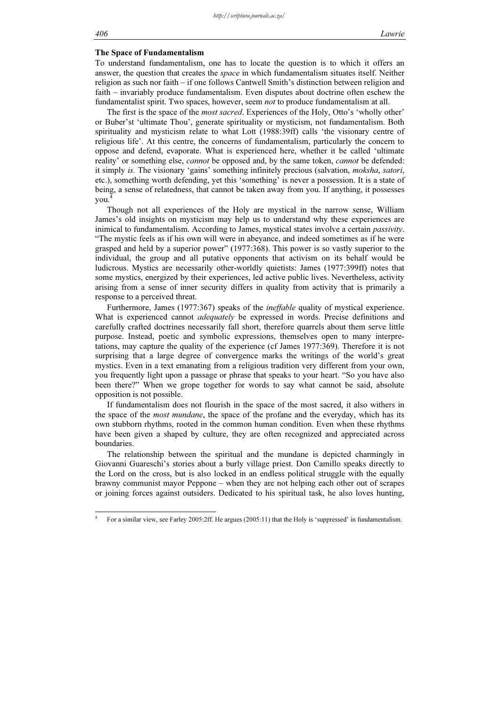#### The Space of Fundamentalism

To understand fundamentalism, one has to locate the question is to which it offers an answer, the question that creates the space in which fundamentalism situates itself. Neither religion as such nor faith – if one follows Cantwell Smith's distinction between religion and faith – invariably produce fundamentalism. Even disputes about doctrine often eschew the fundamentalist spirit. Two spaces, however, seem not to produce fundamentalism at all.

The first is the space of the most sacred. Experiences of the Holy, Otto's 'wholly other' or Buber'st 'ultimate Thou', generate spirituality or mysticism, not fundamentalism. Both spirituality and mysticism relate to what Lott (1988:39ff) calls 'the visionary centre of religious life'. At this centre, the concerns of fundamentalism, particularly the concern to oppose and defend, evaporate. What is experienced here, whether it be called 'ultimate reality' or something else, *cannot* be opposed and, by the same token, *cannot* be defended: it simply is. The visionary 'gains' something infinitely precious (salvation, moksha, satori, etc.), something worth defending, yet this 'something' is never a possession. It is a state of being, a sense of relatedness, that cannot be taken away from you. If anything, it possesses you.

Though not all experiences of the Holy are mystical in the narrow sense, William James's old insights on mysticism may help us to understand why these experiences are inimical to fundamentalism. According to James, mystical states involve a certain *passivity*. "The mystic feels as if his own will were in abeyance, and indeed sometimes as if he were grasped and held by a superior power" (1977:368). This power is so vastly superior to the individual, the group and all putative opponents that activism on its behalf would be ludicrous. Mystics are necessarily other-worldly quietists: James (1977:399ff) notes that some mystics, energized by their experiences, led active public lives. Nevertheless, activity arising from a sense of inner security differs in quality from activity that is primarily a response to a perceived threat.

Furthermore, James (1977:367) speaks of the ineffable quality of mystical experience. What is experienced cannot adequately be expressed in words. Precise definitions and carefully crafted doctrines necessarily fall short, therefore quarrels about them serve little purpose. Instead, poetic and symbolic expressions, themselves open to many interpretations, may capture the quality of the experience (cf James 1977:369). Therefore it is not surprising that a large degree of convergence marks the writings of the world's great mystics. Even in a text emanating from a religious tradition very different from your own, you frequently light upon a passage or phrase that speaks to your heart. "So you have also been there?" When we grope together for words to say what cannot be said, absolute opposition is not possible.

If fundamentalism does not flourish in the space of the most sacred, it also withers in the space of the *most mundane*, the space of the profane and the everyday, which has its own stubborn rhythms, rooted in the common human condition. Even when these rhythms have been given a shaped by culture, they are often recognized and appreciated across boundaries.

The relationship between the spiritual and the mundane is depicted charmingly in Giovanni Guareschi's stories about a burly village priest. Don Camillo speaks directly to the Lord on the cross, but is also locked in an endless political struggle with the equally brawny communist mayor Peppone – when they are not helping each other out of scrapes or joining forces against outsiders. Dedicated to his spiritual task, he also loves hunting,

-

<sup>4</sup> For a similar view, see Farley 2005:2ff. He argues (2005:11) that the Holy is 'suppressed' in fundamentalism.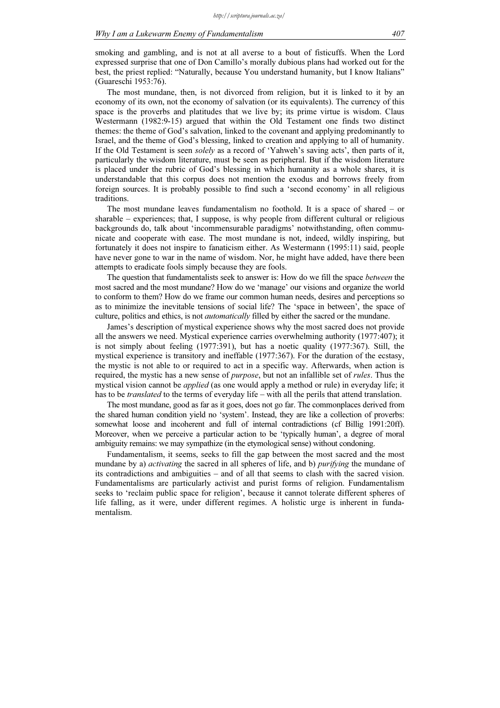smoking and gambling, and is not at all averse to a bout of fisticuffs. When the Lord expressed surprise that one of Don Camillo's morally dubious plans had worked out for the best, the priest replied: "Naturally, because You understand humanity, but I know Italians" (Guareschi 1953:76).

The most mundane, then, is not divorced from religion, but it is linked to it by an economy of its own, not the economy of salvation (or its equivalents). The currency of this space is the proverbs and platitudes that we live by; its prime virtue is wisdom. Claus Westermann (1982:9-15) argued that within the Old Testament one finds two distinct themes: the theme of God's salvation, linked to the covenant and applying predominantly to Israel, and the theme of God's blessing, linked to creation and applying to all of humanity. If the Old Testament is seen solely as a record of 'Yahweh's saving acts', then parts of it, particularly the wisdom literature, must be seen as peripheral. But if the wisdom literature is placed under the rubric of God's blessing in which humanity as a whole shares, it is understandable that this corpus does not mention the exodus and borrows freely from foreign sources. It is probably possible to find such a 'second economy' in all religious traditions.

The most mundane leaves fundamentalism no foothold. It is a space of shared – or sharable – experiences; that, I suppose, is why people from different cultural or religious backgrounds do, talk about 'incommensurable paradigms' notwithstanding, often communicate and cooperate with ease. The most mundane is not, indeed, wildly inspiring, but fortunately it does not inspire to fanaticism either. As Westermann (1995:11) said, people have never gone to war in the name of wisdom. Nor, he might have added, have there been attempts to eradicate fools simply because they are fools.

The question that fundamentalists seek to answer is: How do we fill the space between the most sacred and the most mundane? How do we 'manage' our visions and organize the world to conform to them? How do we frame our common human needs, desires and perceptions so as to minimize the inevitable tensions of social life? The 'space in between', the space of culture, politics and ethics, is not *automatically* filled by either the sacred or the mundane.

James's description of mystical experience shows why the most sacred does not provide all the answers we need. Mystical experience carries overwhelming authority (1977:407); it is not simply about feeling (1977:391), but has a noetic quality (1977:367). Still, the mystical experience is transitory and ineffable (1977:367). For the duration of the ecstasy, the mystic is not able to or required to act in a specific way. Afterwards, when action is required, the mystic has a new sense of *purpose*, but not an infallible set of *rules*. Thus the mystical vision cannot be applied (as one would apply a method or rule) in everyday life; it has to be *translated* to the terms of everyday life – with all the perils that attend translation.

The most mundane, good as far as it goes, does not go far. The commonplaces derived from the shared human condition yield no 'system'. Instead, they are like a collection of proverbs: somewhat loose and incoherent and full of internal contradictions (cf Billig 1991:20ff). Moreover, when we perceive a particular action to be 'typically human', a degree of moral ambiguity remains: we may sympathize (in the etymological sense) without condoning.

Fundamentalism, it seems, seeks to fill the gap between the most sacred and the most mundane by a) *activating* the sacred in all spheres of life, and b) *purifying* the mundane of its contradictions and ambiguities – and of all that seems to clash with the sacred vision. Fundamentalisms are particularly activist and purist forms of religion. Fundamentalism seeks to 'reclaim public space for religion', because it cannot tolerate different spheres of life falling, as it were, under different regimes. A holistic urge is inherent in fundamentalism.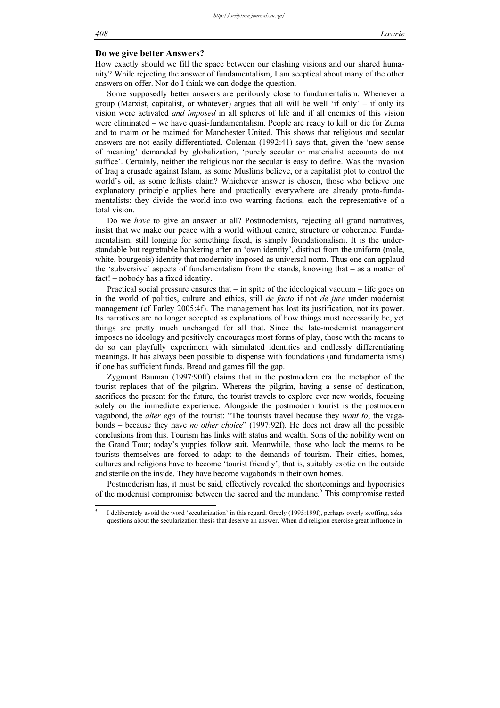# Do we give better Answers?

How exactly should we fill the space between our clashing visions and our shared humanity? While rejecting the answer of fundamentalism, I am sceptical about many of the other answers on offer. Nor do I think we can dodge the question.

Some supposedly better answers are perilously close to fundamentalism. Whenever a group (Marxist, capitalist, or whatever) argues that all will be well 'if only' – if only its vision were activated and imposed in all spheres of life and if all enemies of this vision were eliminated – we have quasi-fundamentalism. People are ready to kill or die for Zuma and to maim or be maimed for Manchester United. This shows that religious and secular answers are not easily differentiated. Coleman (1992:41) says that, given the 'new sense of meaning' demanded by globalization, 'purely secular or materialist accounts do not suffice'. Certainly, neither the religious nor the secular is easy to define. Was the invasion of Iraq a crusade against Islam, as some Muslims believe, or a capitalist plot to control the world's oil, as some leftists claim? Whichever answer is chosen, those who believe one explanatory principle applies here and practically everywhere are already proto-fundamentalists: they divide the world into two warring factions, each the representative of a total vision.

Do we *have* to give an answer at all? Postmodernists, rejecting all grand narratives, insist that we make our peace with a world without centre, structure or coherence. Fundamentalism, still longing for something fixed, is simply foundationalism. It is the understandable but regrettable hankering after an 'own identity', distinct from the uniform (male, white, bourgeois) identity that modernity imposed as universal norm. Thus one can applaud the 'subversive' aspects of fundamentalism from the stands, knowing that – as a matter of fact! – nobody has a fixed identity.

Practical social pressure ensures that – in spite of the ideological vacuum – life goes on in the world of politics, culture and ethics, still *de facto* if not *de jure* under modernist management (cf Farley 2005:4f). The management has lost its justification, not its power. Its narratives are no longer accepted as explanations of how things must necessarily be, yet things are pretty much unchanged for all that. Since the late-modernist management imposes no ideology and positively encourages most forms of play, those with the means to do so can playfully experiment with simulated identities and endlessly differentiating meanings. It has always been possible to dispense with foundations (and fundamentalisms) if one has sufficient funds. Bread and games fill the gap.

Zygmunt Bauman (1997:90ff) claims that in the postmodern era the metaphor of the tourist replaces that of the pilgrim. Whereas the pilgrim, having a sense of destination, sacrifices the present for the future, the tourist travels to explore ever new worlds, focusing solely on the immediate experience. Alongside the postmodern tourist is the postmodern vagabond, the alter ego of the tourist: "The tourists travel because they want to; the vagabonds – because they have no other choice" (1997:92f). He does not draw all the possible conclusions from this. Tourism has links with status and wealth. Sons of the nobility went on the Grand Tour; today's yuppies follow suit. Meanwhile, those who lack the means to be tourists themselves are forced to adapt to the demands of tourism. Their cities, homes, cultures and religions have to become 'tourist friendly', that is, suitably exotic on the outside and sterile on the inside. They have become vagabonds in their own homes.

Postmoderism has, it must be said, effectively revealed the shortcomings and hypocrisies of the modernist compromise between the sacred and the mundane.<sup>5</sup> This compromise rested

-

<sup>5</sup> I deliberately avoid the word 'secularization' in this regard. Greely (1995:199f), perhaps overly scoffing, asks questions about the secularization thesis that deserve an answer. When did religion exercise great influence in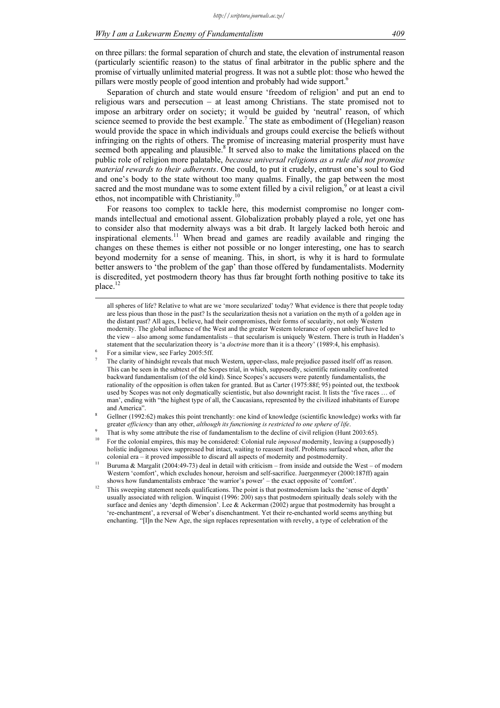on three pillars: the formal separation of church and state, the elevation of instrumental reason (particularly scientific reason) to the status of final arbitrator in the public sphere and the promise of virtually unlimited material progress. It was not a subtle plot: those who hewed the pillars were mostly people of good intention and probably had wide support.<sup>6</sup>

Separation of church and state would ensure 'freedom of religion' and put an end to religious wars and persecution – at least among Christians. The state promised not to impose an arbitrary order on society; it would be guided by 'neutral' reason, of which science seemed to provide the best example.<sup>7</sup> The state as embodiment of (Hegelian) reason would provide the space in which individuals and groups could exercise the beliefs without infringing on the rights of others. The promise of increasing material prosperity must have seemed both appealing and plausible.<sup>8</sup> It served also to make the limitations placed on the public role of religion more palatable, *because universal religions as a rule did not promise* material rewards to their adherents. One could, to put it crudely, entrust one's soul to God and one's body to the state without too many qualms. Finally, the gap between the most sacred and the most mundane was to some extent filled by a civil religion,<sup>9</sup> or at least a civil ethos, not incompatible with Christianity.<sup>10</sup>

For reasons too complex to tackle here, this modernist compromise no longer commands intellectual and emotional assent. Globalization probably played a role, yet one has to consider also that modernity always was a bit drab. It largely lacked both heroic and inspirational elements.<sup>11</sup> When bread and games are readily available and ringing the changes on these themes is either not possible or no longer interesting, one has to search beyond modernity for a sense of meaning. This, in short, is why it is hard to formulate better answers to 'the problem of the gap' than those offered by fundamentalists. Modernity is discredited, yet postmodern theory has thus far brought forth nothing positive to take its place.<sup>12</sup>

-

all spheres of life? Relative to what are we 'more secularized' today? What evidence is there that people today are less pious than those in the past? Is the secularization thesis not a variation on the myth of a golden age in the distant past? All ages, I believe, had their compromises, their forms of secularity, not only Western modernity. The global influence of the West and the greater Western tolerance of open unbelief have led to the view – also among some fundamentalists – that secularism is uniquely Western. There is truth in Hadden's statement that the secularization theory is 'a *doctrine* more than it is a theory' (1989:4, his emphasis).

For a similar view, see Farley 2005:5ff.

<sup>7</sup> The clarity of hindsight reveals that much Western, upper-class, male prejudice passed itself off as reason. This can be seen in the subtext of the Scopes trial, in which, supposedly, scientific rationality confronted backward fundamentalism (of the old kind). Since Scopes's accusers were patently fundamentalists, the rationality of the opposition is often taken for granted. But as Carter (1975:88f; 95) pointed out, the textbook used by Scopes was not only dogmatically scientistic, but also downright racist. It lists the 'five races … of man', ending with "the highest type of all, the Caucasians, represented by the civilized inhabitants of Europe and America".

<sup>8</sup> Gellner (1992:62) makes this point trenchantly: one kind of knowledge (scientific knowledge) works with far greater efficiency than any other, although its functioning is restricted to one sphere of life.

That is why some attribute the rise of fundamentalism to the decline of civil religion (Hunt 2003:65).

<sup>10</sup> For the colonial empires, this may be considered: Colonial rule imposed modernity, leaving a (supposedly) holistic indigenous view suppressed but intact, waiting to reassert itself. Problems surfaced when, after the colonial era – it proved impossible to discard all aspects of modernity and postmodernity.

<sup>&</sup>lt;sup>11</sup> Buruma & Margalit (2004:49-73) deal in detail with criticism – from inside and outside the West – of modern Western 'comfort', which excludes honour, heroism and self-sacrifice. Juergenmeyer (2000:187ff) again shows how fundamentalists embrace 'the warrior's power' – the exact opposite of 'comfort'.

<sup>&</sup>lt;sup>12</sup> This sweeping statement needs qualifications. The point is that postmodernism lacks the 'sense of depth' usually associated with religion. Winquist (1996: 200) says that postmodern spiritually deals solely with the surface and denies any 'depth dimension'. Lee & Ackerman (2002) argue that postmodernity has brought a 're-enchantment', a reversal of Weber's disenchantment. Yet their re-enchanted world seems anything but enchanting. "[I]n the New Age, the sign replaces representation with revelry, a type of celebration of the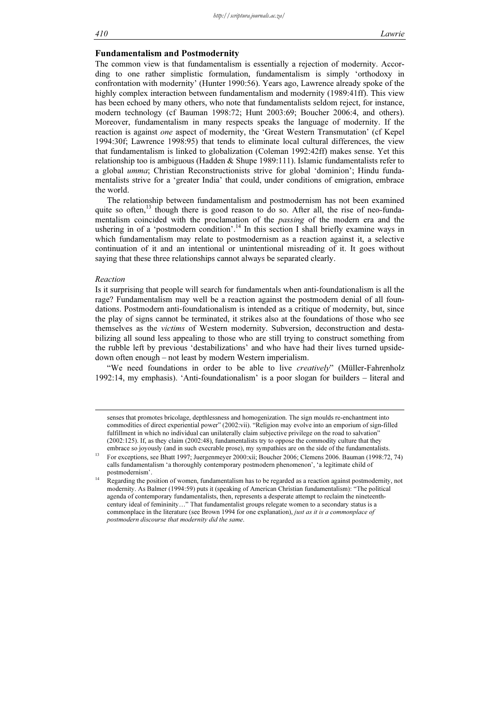#### 410 Lawrie

#### Fundamentalism and Postmodernity

The common view is that fundamentalism is essentially a rejection of modernity. According to one rather simplistic formulation, fundamentalism is simply 'orthodoxy in confrontation with modernity' (Hunter 1990:56). Years ago, Lawrence already spoke of the highly complex interaction between fundamentalism and modernity (1989:41ff). This view has been echoed by many others, who note that fundamentalists seldom reject, for instance, modern technology (cf Bauman 1998:72; Hunt 2003:69; Boucher 2006:4, and others). Moreover, fundamentalism in many respects speaks the language of modernity. If the reaction is against one aspect of modernity, the 'Great Western Transmutation' (cf Kepel 1994:30f; Lawrence 1998:95) that tends to eliminate local cultural differences, the view that fundamentalism is linked to globalization (Coleman 1992:42ff) makes sense. Yet this relationship too is ambiguous (Hadden & Shupe 1989:111). Islamic fundamentalists refer to a global umma; Christian Reconstructionists strive for global 'dominion'; Hindu fundamentalists strive for a 'greater India' that could, under conditions of emigration, embrace the world.

The relationship between fundamentalism and postmodernism has not been examined quite so often, $^{13}$  though there is good reason to do so. After all, the rise of neo-fundamentalism coincided with the proclamation of the passing of the modern era and the ushering in of a 'postmodern condition'.<sup>14</sup> In this section I shall briefly examine ways in which fundamentalism may relate to postmodernism as a reaction against it, a selective continuation of it and an intentional or unintentional misreading of it. It goes without saying that these three relationships cannot always be separated clearly.

#### Reaction

-

Is it surprising that people will search for fundamentals when anti-foundationalism is all the rage? Fundamentalism may well be a reaction against the postmodern denial of all foundations. Postmodern anti-foundationalism is intended as a critique of modernity, but, since the play of signs cannot be terminated, it strikes also at the foundations of those who see themselves as the victims of Western modernity. Subversion, deconstruction and destabilizing all sound less appealing to those who are still trying to construct something from the rubble left by previous 'destabilizations' and who have had their lives turned upsidedown often enough – not least by modern Western imperialism.

"We need foundations in order to be able to live *creatively*" (Müller-Fahrenholz 1992:14, my emphasis). 'Anti-foundationalism' is a poor slogan for builders – literal and

senses that promotes bricolage, depthlessness and homogenization. The sign moulds re-enchantment into commodities of direct experiential power" (2002:vii). "Religion may evolve into an emporium of sign-filled fulfillment in which no individual can unilaterally claim subjective privilege on the road to salvation" (2002:125). If, as they claim (2002:48), fundamentalists try to oppose the commodity culture that they embrace so joyously (and in such execrable prose), my sympathies are on the side of the fundamentalists.

<sup>&</sup>lt;sup>13</sup> For exceptions, see Bhatt 1997; Juergenmeyer 2000:xii; Boucher 2006; Clemens 2006. Bauman (1998:72, 74) calls fundamentalism 'a thoroughly contemporary postmodern phenomenon', 'a legitimate child of postmodernism'.

Regarding the position of women, fundamentalism has to be regarded as a reaction against postmodernity, not modernity. As Balmer (1994:59) puts it (speaking of American Christian fundamentalism): "The political agenda of contemporary fundamentalists, then, represents a desperate attempt to reclaim the nineteenthcentury ideal of femininity…" That fundamentalist groups relegate women to a secondary status is a commonplace in the literature (see Brown 1994 for one explanation), just as it is a commonplace of postmodern discourse that modernity did the same.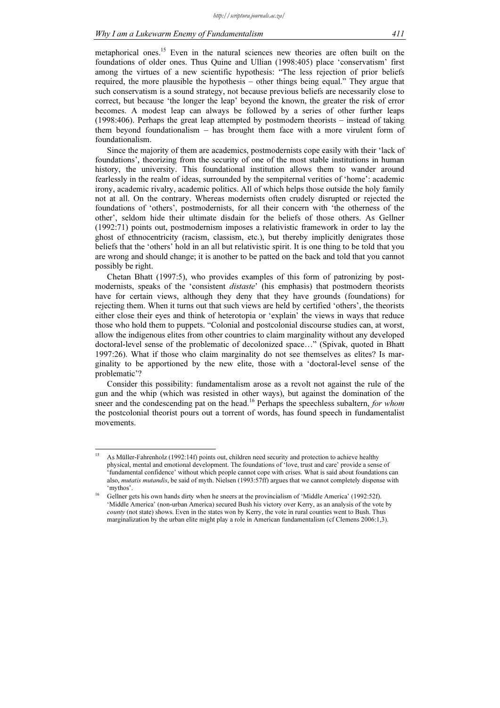metaphorical ones.<sup>15</sup> Even in the natural sciences new theories are often built on the foundations of older ones. Thus Quine and Ullian (1998:405) place 'conservatism' first among the virtues of a new scientific hypothesis: "The less rejection of prior beliefs required, the more plausible the hypothesis – other things being equal." They argue that such conservatism is a sound strategy, not because previous beliefs are necessarily close to correct, but because 'the longer the leap' beyond the known, the greater the risk of error becomes. A modest leap can always be followed by a series of other further leaps (1998:406). Perhaps the great leap attempted by postmodern theorists – instead of taking them beyond foundationalism – has brought them face with a more virulent form of foundationalism.

Since the majority of them are academics, postmodernists cope easily with their 'lack of foundations', theorizing from the security of one of the most stable institutions in human history, the university. This foundational institution allows them to wander around fearlessly in the realm of ideas, surrounded by the sempiternal verities of 'home': academic irony, academic rivalry, academic politics. All of which helps those outside the holy family not at all. On the contrary. Whereas modernists often crudely disrupted or rejected the foundations of 'others', postmodernists, for all their concern with 'the otherness of the other', seldom hide their ultimate disdain for the beliefs of those others. As Gellner (1992:71) points out, postmodernism imposes a relativistic framework in order to lay the ghost of ethnocentricity (racism, classism, etc.), but thereby implicitly denigrates those beliefs that the 'others' hold in an all but relativistic spirit. It is one thing to be told that you are wrong and should change; it is another to be patted on the back and told that you cannot possibly be right.

Chetan Bhatt (1997:5), who provides examples of this form of patronizing by postmodernists, speaks of the 'consistent distaste' (his emphasis) that postmodern theorists have for certain views, although they deny that they have grounds (foundations) for rejecting them. When it turns out that such views are held by certified 'others', the theorists either close their eyes and think of heterotopia or 'explain' the views in ways that reduce those who hold them to puppets. "Colonial and postcolonial discourse studies can, at worst, allow the indigenous elites from other countries to claim marginality without any developed doctoral-level sense of the problematic of decolonized space…" (Spivak, quoted in Bhatt 1997:26). What if those who claim marginality do not see themselves as elites? Is marginality to be apportioned by the new elite, those with a 'doctoral-level sense of the problematic'?

Consider this possibility: fundamentalism arose as a revolt not against the rule of the gun and the whip (which was resisted in other ways), but against the domination of the sneer and the condescending pat on the head.<sup>16</sup> Perhaps the speechless subaltern, for whom the postcolonial theorist pours out a torrent of words, has found speech in fundamentalist movements.

 $15$ <sup>15</sup> As Müller-Fahrenholz (1992:14f) points out, children need security and protection to achieve healthy physical, mental and emotional development. The foundations of 'love, trust and care' provide a sense of 'fundamental confidence' without which people cannot cope with crises. What is said about foundations can also, mutatis mutandis, be said of myth. Nielsen (1993:57ff) argues that we cannot completely dispense with 'mythos'.

<sup>&</sup>lt;sup>16</sup> Gellner gets his own hands dirty when he sneers at the provincialism of 'Middle America' (1992:52f). 'Middle America' (non-urban America) secured Bush his victory over Kerry, as an analysis of the vote by county (not state) shows. Even in the states won by Kerry, the vote in rural counties went to Bush. Thus marginalization by the urban elite might play a role in American fundamentalism (cf Clemens 2006:1,3).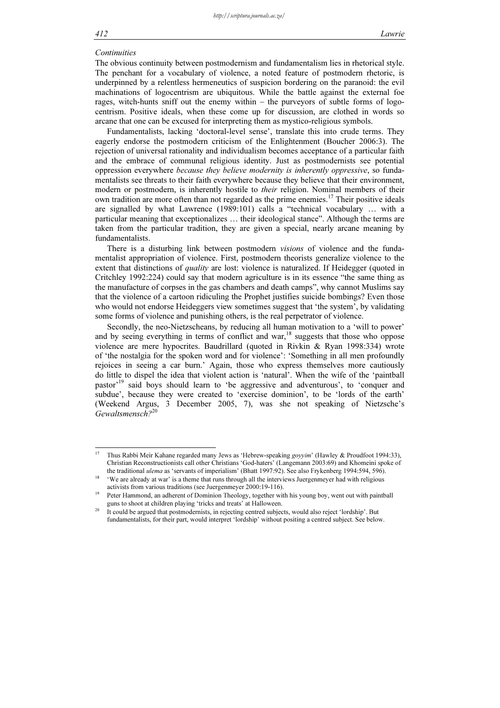#### **Continuities**

The obvious continuity between postmodernism and fundamentalism lies in rhetorical style. The penchant for a vocabulary of violence, a noted feature of postmodern rhetoric, is underpinned by a relentless hermeneutics of suspicion bordering on the paranoid: the evil machinations of logocentrism are ubiquitous. While the battle against the external foe rages, witch-hunts sniff out the enemy within – the purveyors of subtle forms of logocentrism. Positive ideals, when these come up for discussion, are clothed in words so arcane that one can be excused for interpreting them as mystico-religious symbols.

Fundamentalists, lacking 'doctoral-level sense', translate this into crude terms. They eagerly endorse the postmodern criticism of the Enlightenment (Boucher 2006:3). The rejection of universal rationality and individualism becomes acceptance of a particular faith and the embrace of communal religious identity. Just as postmodernists see potential oppression everywhere because they believe modernity is inherently oppressive, so fundamentalists see threats to their faith everywhere because they believe that their environment, modern or postmodern, is inherently hostile to *their* religion. Nominal members of their own tradition are more often than not regarded as the prime enemies.<sup>17</sup> Their positive ideals are signalled by what Lawrence (1989:101) calls a "technical vocabulary … with a particular meaning that exceptionalizes … their ideological stance". Although the terms are taken from the particular tradition, they are given a special, nearly arcane meaning by fundamentalists.

There is a disturbing link between postmodern visions of violence and the fundamentalist appropriation of violence. First, postmodern theorists generalize violence to the extent that distinctions of *quality* are lost: violence is naturalized. If Heidegger (quoted in Critchley 1992:224) could say that modern agriculture is in its essence "the same thing as the manufacture of corpses in the gas chambers and death camps", why cannot Muslims say that the violence of a cartoon ridiculing the Prophet justifies suicide bombings? Even those who would not endorse Heideggers view sometimes suggest that 'the system', by validating some forms of violence and punishing others, is the real perpetrator of violence.

Secondly, the neo-Nietzscheans, by reducing all human motivation to a 'will to power' and by seeing everything in terms of conflict and war, $18$  suggests that those who oppose violence are mere hypocrites. Baudrillard (quoted in Rivkin & Ryan 1998:334) wrote of 'the nostalgia for the spoken word and for violence': 'Something in all men profoundly rejoices in seeing a car burn.' Again, those who express themselves more cautiously do little to dispel the idea that violent action is 'natural'. When the wife of the 'paintball pastor'<sup>19</sup> said boys should learn to 'be aggressive and adventurous', to 'conquer and subdue', because they were created to 'exercise dominion', to be 'lords of the earth' (Weekend Argus, 3 December 2005, 7), was she not speaking of Nietzsche's Gewaltsmensch?<sup>20</sup>

 $17$ <sup>17</sup> Thus Rabbi Meir Kahane regarded many Jews as 'Hebrew-speaking goyyim' (Hawley & Proudfoot 1994:33), Christian Reconstructionists call other Christians 'God-haters' (Langemann 2003:69) and Khomeini spoke of the traditional ulema as 'servants of imperialism' (Bhatt 1997:92). See also Frykenberg 1994:594, 596).

<sup>&</sup>lt;sup>18</sup> 'We are already at war' is a theme that runs through all the interviews Juergenmeyer had with religious activists from various traditions (see Juergenmeyer 2000:19-116).

<sup>19</sup> Peter Hammond, an adherent of Dominion Theology, together with his young boy, went out with paintball guns to shoot at children playing 'tricks and treats' at Halloween.

<sup>&</sup>lt;sup>20</sup> It could be argued that postmodernists, in rejecting centred subjects, would also reject 'lordship'. But fundamentalists, for their part, would interpret 'lordship' without positing a centred subject. See below.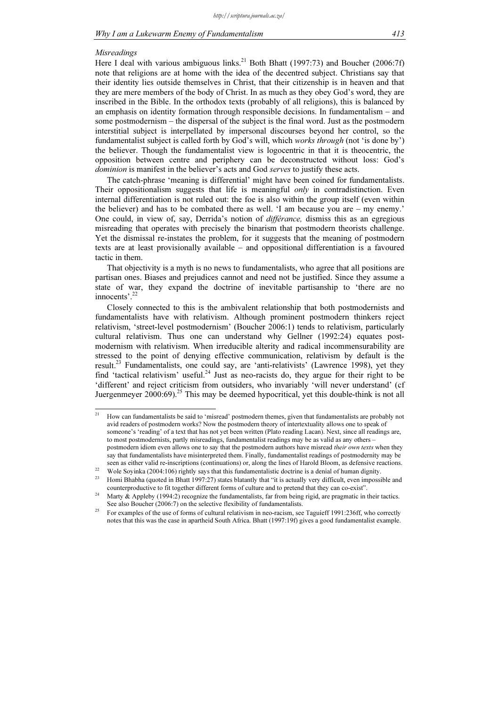#### Misreadings

Here I deal with various ambiguous links.<sup>21</sup> Both Bhatt (1997:73) and Boucher (2006:7f) note that religions are at home with the idea of the decentred subject. Christians say that their identity lies outside themselves in Christ, that their citizenship is in heaven and that they are mere members of the body of Christ. In as much as they obey God's word, they are inscribed in the Bible. In the orthodox texts (probably of all religions), this is balanced by an emphasis on identity formation through responsible decisions. In fundamentalism – and some postmodernism – the dispersal of the subject is the final word. Just as the postmodern interstitial subject is interpellated by impersonal discourses beyond her control, so the fundamentalist subject is called forth by God's will, which works through (not 'is done by') the believer. Though the fundamentalist view is logocentric in that it is theocentric, the opposition between centre and periphery can be deconstructed without loss: God's dominion is manifest in the believer's acts and God serves to justify these acts.

The catch-phrase 'meaning is differential' might have been coined for fundamentalists. Their oppositionalism suggests that life is meaningful *only* in contradistinction. Even internal differentiation is not ruled out: the foe is also within the group itself (even within the believer) and has to be combated there as well. 'I am because you are – my enemy.' One could, in view of, say, Derrida's notion of différance, dismiss this as an egregious misreading that operates with precisely the binarism that postmodern theorists challenge. Yet the dismissal re-instates the problem, for it suggests that the meaning of postmodern texts are at least provisionally available – and oppositional differentiation is a favoured tactic in them.

That objectivity is a myth is no news to fundamentalists, who agree that all positions are partisan ones. Biases and prejudices cannot and need not be justified. Since they assume a state of war, they expand the doctrine of inevitable partisanship to 'there are no innocents'.<sup>22</sup>

Closely connected to this is the ambivalent relationship that both postmodernists and fundamentalists have with relativism. Although prominent postmodern thinkers reject relativism, 'street-level postmodernism' (Boucher 2006:1) tends to relativism, particularly cultural relativism. Thus one can understand why Gellner (1992:24) equates postmodernism with relativism. When irreducible alterity and radical incommensurability are stressed to the point of denying effective communication, relativism by default is the result.<sup>23</sup> Fundamentalists, one could say, are 'anti-relativists' (Lawrence 1998), yet they find 'tactical relativism' useful.<sup>24</sup> Just as neo-racists do, they argue for their right to be 'different' and reject criticism from outsiders, who invariably 'will never understand' (cf Juergenmeyer  $2000:69$ ).<sup>25</sup> This may be deemed hypocritical, yet this double-think is not all

 $21$ <sup>21</sup> How can fundamentalists be said to 'misread' postmodern themes, given that fundamentalists are probably not avid readers of postmodern works? Now the postmodern theory of intertextuality allows one to speak of someone's 'reading' of a text that has not yet been written (Plato reading Lacan). Next, since all readings are, to most postmodernists, partly misreadings, fundamentalist readings may be as valid as any others – postmodern idiom even allows one to say that the postmodern authors have misread *their own texts* when they say that fundamentalists have misinterpreted them. Finally, fundamentalist readings of postmodernity may be

seen as either valid re-inscriptions (continuations) or, along the lines of Harold Bloom, as defensive reactions.<br><sup>22</sup> Wole Soyinka (2004:106) rightly says that this fundamentalistic doctrine is a denial of human dignity.

<sup>&</sup>lt;sup>23</sup> Homi Bhabha (quoted in Bhatt 1997:27) states blatantly that "it is actually very difficult, even impossible and counterproductive to fit together different forms of culture and to pretend that they can co-exist".

<sup>&</sup>lt;sup>24</sup> Marty  $\&$  Appleby (1994:2) recognize the fundamentalists, far from being rigid, are pragmatic in their tactics. See also Boucher (2006:7) on the selective flexibility of fundamentalists.

<sup>&</sup>lt;sup>25</sup> For examples of the use of forms of cultural relativism in neo-racism, see Taguieff 1991:236ff, who correctly notes that this was the case in apartheid South Africa. Bhatt (1997:19f) gives a good fundamentalist example.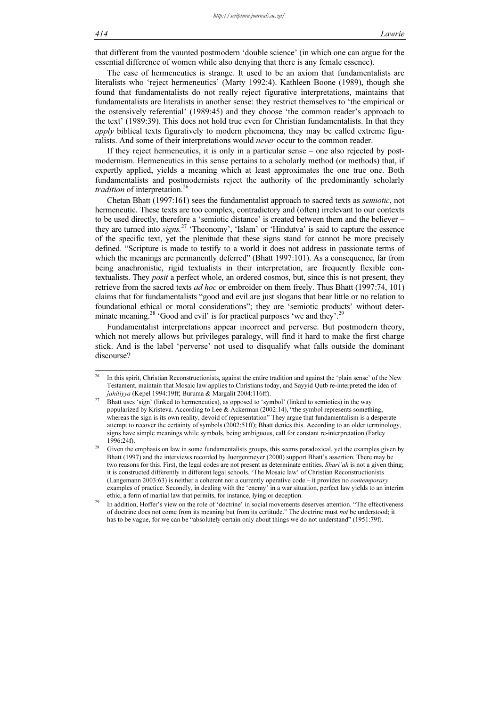that different from the vaunted postmodern 'double science' (in which one can argue for the essential difference of women while also denying that there is any female essence).

The case of hermeneutics is strange. It used to be an axiom that fundamentalists are literalists who 'reject hermeneutics' (Marty 1992:4). Kathleen Boone (1989), though she found that fundamentalists do not really reject figurative interpretations, maintains that fundamentalists are literalists in another sense: they restrict themselves to 'the empirical or the ostensively referential' (1989:45) and they choose 'the common reader's approach to the text' (1989:39). This does not hold true even for Christian fundamentalists. In that they *apply* biblical texts figuratively to modern phenomena, they may be called extreme figuralists. And some of their interpretations would never occur to the common reader.

If they reject hermeneutics, it is only in a particular sense – one also rejected by postmodernism. Hermeneutics in this sense pertains to a scholarly method (or methods) that, if expertly applied, yields a meaning which at least approximates the one true one. Both fundamentalists and postmodernists reject the authority of the predominantly scholarly tradition of interpretation.<sup>26</sup>

Chetan Bhatt (1997:161) sees the fundamentalist approach to sacred texts as semiotic, not hermeneutic. These texts are too complex, contradictory and (often) irrelevant to our contexts to be used directly, therefore a 'semiotic distance' is created between them and the believer – they are turned into signs.<sup>27</sup> 'Theonomy', 'Islam' or 'Hindutva' is said to capture the essence of the specific text, yet the plenitude that these signs stand for cannot be more precisely defined. "Scripture is made to testify to a world it does not address in passionate terms of which the meanings are permanently deferred" (Bhatt 1997:101). As a consequence, far from being anachronistic, rigid textualists in their interpretation, are frequently flexible contextualists. They posit a perfect whole, an ordered cosmos, but, since this is not present, they retrieve from the sacred texts *ad hoc* or embroider on them freely. Thus Bhatt (1997:74, 101) claims that for fundamentalists "good and evil are just slogans that bear little or no relation to foundational ethical or moral considerations"; they are 'semiotic products' without determinate meaning.<sup>28</sup> 'Good and evil' is for practical purposes 'we and they'.<sup>29</sup>

Fundamentalist interpretations appear incorrect and perverse. But postmodern theory, which not merely allows but privileges paralogy, will find it hard to make the first charge stick. And is the label 'perverse' not used to disqualify what falls outside the dominant discourse?

 $26$ <sup>26</sup> In this spirit, Christian Reconstructionists, against the entire tradition and against the 'plain sense' of the New Testament, maintain that Mosaic law applies to Christians today, and Sayyid Qutb re-interpreted the idea of jahiliyya (Kepel 1994:19ff; Buruma & Margalit 2004:116ff).

<sup>&</sup>lt;sup>27</sup> Bhatt uses 'sign' (linked to hermeneutics), as opposed to 'symbol' (linked to semiotics) in the way popularized by Kristeva. According to Lee & Ackerman (2002:14), "the symbol represents something, whereas the sign is its own reality, devoid of representation" They argue that fundamentalism is a desperate attempt to recover the certainty of symbols (2002:51ff); Bhatt denies this. According to an older terminology, signs have simple meanings while symbols, being ambiguous, call for constant re-interpretation (Farley 1996:24f).

<sup>&</sup>lt;sup>28</sup> Given the emphasis on law in some fundamentalists groups, this seems paradoxical, yet the examples given by Bhatt (1997) and the interviews recorded by Juergenmeyer (2000) support Bhatt's assertion. There may be two reasons for this. First, the legal codes are not present as determinate entities. Shari'ah is not a given thing; it is constructed differently in different legal schools. 'The Mosaic law' of Christian Reconstructionists (Langemann 2003:63) is neither a coherent nor a currently operative code – it provides no contemporary examples of practice. Secondly, in dealing with the 'enemy' in a war situation, perfect law yields to an interim ethic, a form of martial law that permits, for instance, lying or deception.

In addition, Hoffer's view on the role of 'doctrine' in social movements deserves attention. "The effectiveness of doctrine does not come from its meaning but from its certitude." The doctrine must not be understood; it has to be vague, for we can be "absolutely certain only about things we do not understand" (1951:79f).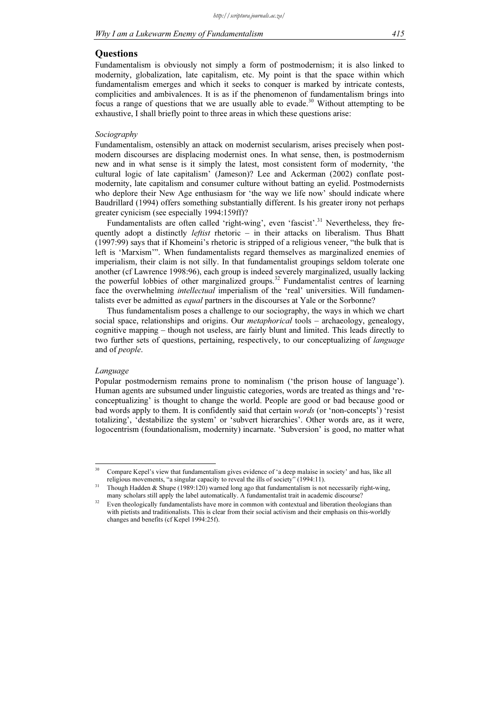#### **Ouestions**

Fundamentalism is obviously not simply a form of postmodernism; it is also linked to modernity, globalization, late capitalism, etc. My point is that the space within which fundamentalism emerges and which it seeks to conquer is marked by intricate contests, complicities and ambivalences. It is as if the phenomenon of fundamentalism brings into focus a range of questions that we are usually able to evade.<sup>30</sup> Without attempting to be exhaustive, I shall briefly point to three areas in which these questions arise:

### Sociography

Fundamentalism, ostensibly an attack on modernist secularism, arises precisely when postmodern discourses are displacing modernist ones. In what sense, then, is postmodernism new and in what sense is it simply the latest, most consistent form of modernity, 'the cultural logic of late capitalism' (Jameson)? Lee and Ackerman (2002) conflate postmodernity, late capitalism and consumer culture without batting an eyelid. Postmodernists who deplore their New Age enthusiasm for 'the way we life now' should indicate where Baudrillard (1994) offers something substantially different. Is his greater irony not perhaps greater cynicism (see especially 1994:159ff)?

Fundamentalists are often called 'right-wing', even 'fascist'.<sup>31</sup> Nevertheless, they frequently adopt a distinctly *leftist* rhetoric  $-$  in their attacks on liberalism. Thus Bhatt (1997:99) says that if Khomeini's rhetoric is stripped of a religious veneer, "the bulk that is left is 'Marxism'". When fundamentalists regard themselves as marginalized enemies of imperialism, their claim is not silly. In that fundamentalist groupings seldom tolerate one another (cf Lawrence 1998:96), each group is indeed severely marginalized, usually lacking the powerful lobbies of other marginalized groups.<sup>32</sup> Fundamentalist centres of learning face the overwhelming *intellectual* imperialism of the 'real' universities. Will fundamentalists ever be admitted as *equal* partners in the discourses at Yale or the Sorbonne?

Thus fundamentalism poses a challenge to our sociography, the ways in which we chart social space, relationships and origins. Our *metaphorical* tools – archaeology, genealogy, cognitive mapping – though not useless, are fairly blunt and limited. This leads directly to two further sets of questions, pertaining, respectively, to our conceptualizing of language and of people.

#### Language

 $\overline{a}$ 

Popular postmodernism remains prone to nominalism ('the prison house of language'). Human agents are subsumed under linguistic categories, words are treated as things and 'reconceptualizing' is thought to change the world. People are good or bad because good or bad words apply to them. It is confidently said that certain words (or 'non-concepts') 'resist totalizing', 'destabilize the system' or 'subvert hierarchies'. Other words are, as it were, logocentrism (foundationalism, modernity) incarnate. 'Subversion' is good, no matter what

<sup>30</sup> Compare Kepel's view that fundamentalism gives evidence of 'a deep malaise in society' and has, like all religious movements, "a singular capacity to reveal the ills of society" (1994:11).

Though Hadden & Shupe (1989:120) warned long ago that fundamentalism is not necessarily right-wing, many scholars still apply the label automatically. A fundamentalist trait in academic discourse?

Even theologically fundamentalists have more in common with contextual and liberation theologians than with pietists and traditionalists. This is clear from their social activism and their emphasis on this-worldly changes and benefits (cf Kepel 1994:25f).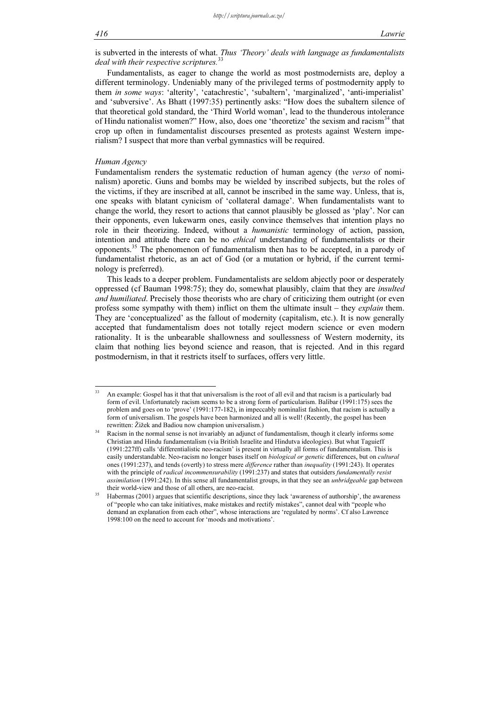is subverted in the interests of what. Thus 'Theory' deals with language as fundamentalists deal with their respective scriptures.<sup>33</sup>

Fundamentalists, as eager to change the world as most postmodernists are, deploy a different terminology. Undeniably many of the privileged terms of postmodernity apply to them in some ways: 'alterity', 'catachrestic', 'subaltern', 'marginalized', 'anti-imperialist' and 'subversive'. As Bhatt (1997:35) pertinently asks: "How does the subaltern silence of that theoretical gold standard, the 'Third World woman', lead to the thunderous intolerance of Hindu nationalist women?" How, also, does one 'theoretize' the sexism and racism<sup>34</sup> that crop up often in fundamentalist discourses presented as protests against Western imperialism? I suspect that more than verbal gymnastics will be required.

#### Human Agency

Fundamentalism renders the systematic reduction of human agency (the verso of nominalism) aporetic. Guns and bombs may be wielded by inscribed subjects, but the roles of the victims, if they are inscribed at all, cannot be inscribed in the same way. Unless, that is, one speaks with blatant cynicism of 'collateral damage'. When fundamentalists want to change the world, they resort to actions that cannot plausibly be glossed as 'play'. Nor can their opponents, even lukewarm ones, easily convince themselves that intention plays no role in their theorizing. Indeed, without a *humanistic* terminology of action, passion, intention and attitude there can be no *ethical* understanding of fundamentalists or their opponents.<sup>35</sup> The phenomenon of fundamentalism then has to be accepted, in a parody of fundamentalist rhetoric, as an act of God (or a mutation or hybrid, if the current terminology is preferred).

This leads to a deeper problem. Fundamentalists are seldom abjectly poor or desperately oppressed (cf Bauman 1998:75); they do, somewhat plausibly, claim that they are insulted and humiliated. Precisely those theorists who are chary of criticizing them outright (or even profess some sympathy with them) inflict on them the ultimate insult – they explain them. They are 'conceptualized' as the fallout of modernity (capitalism, etc.). It is now generally accepted that fundamentalism does not totally reject modern science or even modern rationality. It is the unbearable shallowness and soullessness of Western modernity, its claim that nothing lies beyond science and reason, that is rejected. And in this regard postmodernism, in that it restricts itself to surfaces, offers very little.

 $\overline{33}$ <sup>33</sup> An example: Gospel has it that that universalism is the root of all evil and that racism is a particularly bad form of evil. Unfortunately racism seems to be a strong form of particularism. Balibar (1991:175) sees the problem and goes on to 'prove' (1991:177-182), in impeccably nominalist fashion, that racism is actually a form of universalism. The gospels have been harmonized and all is well! (Recently, the gospel has been rewritten: Žižek and Badiou now champion universalism.)

<sup>&</sup>lt;sup>34</sup> Racism in the normal sense is not invariably an adjunct of fundamentalism, though it clearly informs some Christian and Hindu fundamentalism (via British Israelite and Hindutva ideologies). But what Taguieff (1991:227ff) calls 'differentialistic neo-racism' is present in virtually all forms of fundamentalism. This is easily understandable. Neo-racism no longer bases itself on *biological or genetic* differences, but on *cultural* ones (1991:237), and tends (overtly) to stress mere difference rather than inequality (1991:243). It operates with the principle of radical incommensurability (1991:237) and states that outsiders fundamentally resist assimilation (1991:242). In this sense all fundamentalist groups, in that they see an *unbridgeable* gap between their world-view and those of all others, are neo-racist.

<sup>&</sup>lt;sup>35</sup> Habermas (2001) argues that scientific descriptions, since they lack 'awareness of authorship', the awareness of "people who can take initiatives, make mistakes and rectify mistakes", cannot deal with "people who demand an explanation from each other", whose interactions are 'regulated by norms'. Cf also Lawrence 1998:100 on the need to account for 'moods and motivations'.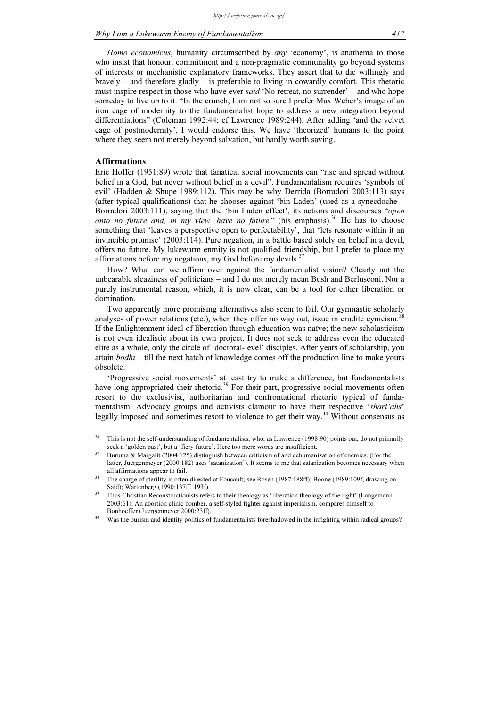Homo economicus, humanity circumscribed by any 'economy', is anathema to those who insist that honour, commitment and a non-pragmatic communality go beyond systems of interests or mechanistic explanatory frameworks. They assert that to die willingly and bravely – and therefore gladly – is preferable to living in cowardly comfort. This rhetoric must inspire respect in those who have ever *said* 'No retreat, no surrender' – and who hope someday to live up to it. "In the crunch, I am not so sure I prefer Max Weber's image of an iron cage of modernity to the fundamentalist hope to address a new integration beyond differentiations" (Coleman 1992:44; cf Lawrence 1989:244). After adding 'and the velvet cage of postmodernity', I would endorse this. We have 'theorized' humans to the point where they seem not merely beyond salvation, but hardly worth saving.

# Affirmations

Eric Hoffer (1951:89) wrote that fanatical social movements can "rise and spread without belief in a God, but never without belief in a devil". Fundamentalism requires 'symbols of evil' (Hadden & Shupe 1989:112). This may be why Derrida (Borradori 2003:113) says (after typical qualifications) that he chooses against 'bin Laden' (used as a synecdoche – Borradori 2003:111), saying that the 'bin Laden effect', its actions and discourses "open onto no future and, in my view, have no future" (his emphasis).<sup>36</sup> He has to choose something that 'leaves a perspective open to perfectability', that 'lets resonate within it an invincible promise' (2003:114). Pure negation, in a battle based solely on belief in a devil, offers no future. My lukewarm enmity is not qualified friendship, but I prefer to place my affirmations before my negations, my God before my devils.<sup>37</sup>

How? What can we affirm over against the fundamentalist vision? Clearly not the unbearable sleaziness of politicians – and I do not merely mean Bush and Berlusconi. Nor a purely instrumental reason, which, it is now clear, can be a tool for either liberation or domination.

Two apparently more promising alternatives also seem to fail. Our gymnastic scholarly analyses of power relations (etc.), when they offer no way out, issue in erudite cynicism.<sup>38</sup> If the Enlightenment ideal of liberation through education was naïve; the new scholasticism is not even idealistic about its own project. It does not seek to address even the educated elite as a whole, only the circle of 'doctoral-level' disciples. After years of scholarship, you attain  $bodhi$  – till the next batch of knowledge comes off the production line to make yours obsolete.

'Progressive social movements' at least try to make a difference, but fundamentalists have long appropriated their rhetoric.<sup>39</sup> For their part, progressive social movements often resort to the exclusivist, authoritarian and confrontational rhetoric typical of fundamentalism. Advocacy groups and activists clamour to have their respective 'shari'ahs' legally imposed and sometimes resort to violence to get their way.<sup>40</sup> Without consensus as

 $\overline{36}$ This is not the self-understanding of fundamentalists, who, as Lawrence (1998:90) points out, do not primarily seek a 'golden past', but a 'fiery future'. Here too mere words are insufficient.

<sup>&</sup>lt;sup>37</sup> Buruma & Margalit (2004:125) distinguish between criticism of and dehumanization of enemies. (For the latter, Juergenmeyer (2000:182) uses 'satanization'). It seems to me that satanization becomes necessary when all affirmations appear to fail.

<sup>38</sup> The charge of sterility is often directed at Foucault; see Rosen (1987:188ff); Boone (1989:109f, drawing on Said); Wartenberg (1990:137ff, 193f).

<sup>39</sup> Thus Christian Reconstructionists refers to their theology as 'liberation theology of the right' (Langemann 2003:61). An abortion clinic bomber, a self-styled fighter against imperialism, compares himself to

Bonhoeffer (Juergenmeyer 2000:23ff).<br>Was the purism and identity politics of fundamentalists foreshadowed in the infighting within radical groups?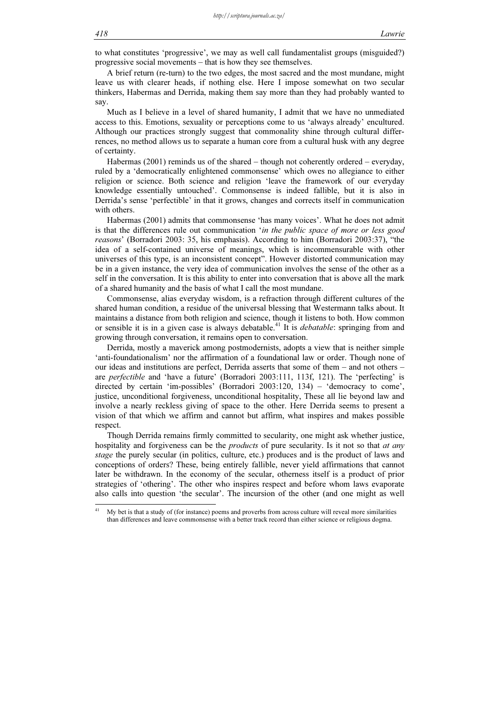to what constitutes 'progressive', we may as well call fundamentalist groups (misguided?) progressive social movements – that is how they see themselves.

A brief return (re-turn) to the two edges, the most sacred and the most mundane, might leave us with clearer heads, if nothing else. Here I impose somewhat on two secular thinkers, Habermas and Derrida, making them say more than they had probably wanted to say.

Much as I believe in a level of shared humanity, I admit that we have no unmediated access to this. Emotions, sexuality or perceptions come to us 'always already' encultured. Although our practices strongly suggest that commonality shine through cultural differrences, no method allows us to separate a human core from a cultural husk with any degree of certainty.

Habermas (2001) reminds us of the shared – though not coherently ordered – everyday, ruled by a 'democratically enlightened commonsense' which owes no allegiance to either religion or science. Both science and religion 'leave the framework of our everyday knowledge essentially untouched'. Commonsense is indeed fallible, but it is also in Derrida's sense 'perfectible' in that it grows, changes and corrects itself in communication with others.

Habermas (2001) admits that commonsense 'has many voices'. What he does not admit is that the differences rule out communication *'in the public space of more or less good* reasons' (Borradori 2003: 35, his emphasis). According to him (Borradori 2003:37), "the idea of a self-contained universe of meanings, which is incommensurable with other universes of this type, is an inconsistent concept". However distorted communication may be in a given instance, the very idea of communication involves the sense of the other as a self in the conversation. It is this ability to enter into conversation that is above all the mark of a shared humanity and the basis of what I call the most mundane.

Commonsense, alias everyday wisdom, is a refraction through different cultures of the shared human condition, a residue of the universal blessing that Westermann talks about. It maintains a distance from both religion and science, though it listens to both. How common or sensible it is in a given case is always debatable.<sup>41</sup> It is *debatable*: springing from and growing through conversation, it remains open to conversation.

Derrida, mostly a maverick among postmodernists, adopts a view that is neither simple 'anti-foundationalism' nor the affirmation of a foundational law or order. Though none of our ideas and institutions are perfect, Derrida asserts that some of them – and not others – are perfectible and 'have a future' (Borradori 2003:111, 113f, 121). The 'perfecting' is directed by certain 'im-possibles' (Borradori 2003:120, 134) – 'democracy to come', justice, unconditional forgiveness, unconditional hospitality, These all lie beyond law and involve a nearly reckless giving of space to the other. Here Derrida seems to present a vision of that which we affirm and cannot but affirm, what inspires and makes possible respect.

Though Derrida remains firmly committed to secularity, one might ask whether justice, hospitality and forgiveness can be the *products* of pure secularity. Is it not so that *at any* stage the purely secular (in politics, culture, etc.) produces and is the product of laws and conceptions of orders? These, being entirely fallible, never yield affirmations that cannot later be withdrawn. In the economy of the secular, otherness itself is a product of prior strategies of 'othering'. The other who inspires respect and before whom laws evaporate also calls into question 'the secular'. The incursion of the other (and one might as well

 $41$ My bet is that a study of (for instance) poems and proverbs from across culture will reveal more similarities than differences and leave commonsense with a better track record than either science or religious dogma.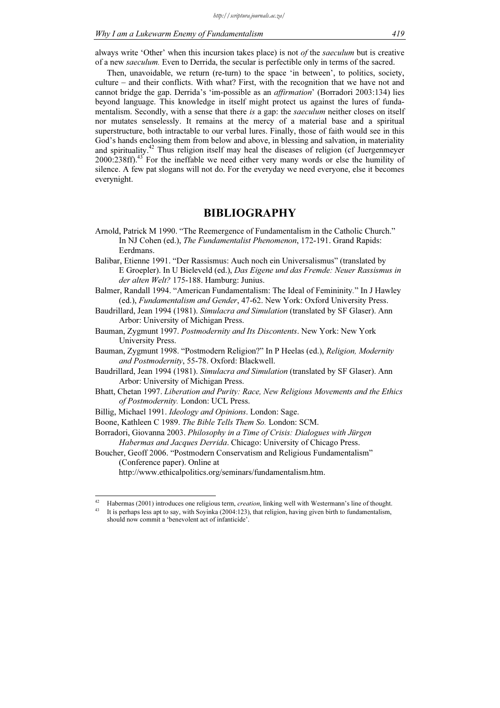always write 'Other' when this incursion takes place) is not of the saeculum but is creative of a new saeculum. Even to Derrida, the secular is perfectible only in terms of the sacred.

Then, unavoidable, we return (re-turn) to the space 'in between', to politics, society, culture – and their conflicts. With what? First, with the recognition that we have not and cannot bridge the gap. Derrida's 'im-possible as an affirmation' (Borradori 2003:134) lies beyond language. This knowledge in itself might protect us against the lures of fundamentalism. Secondly, with a sense that there is a gap: the saeculum neither closes on itself nor mutates senselessly. It remains at the mercy of a material base and a spiritual superstructure, both intractable to our verbal lures. Finally, those of faith would see in this God's hands enclosing them from below and above, in blessing and salvation, in materiality and spirituality.<sup>42</sup> Thus religion itself may heal the diseases of religion (cf Juergenmeyer 2000:238ff).<sup>43</sup> For the ineffable we need either very many words or else the humility of silence. A few pat slogans will not do. For the everyday we need everyone, else it becomes everynight.

# BIBLIOGRAPHY

- Arnold, Patrick M 1990. "The Reemergence of Fundamentalism in the Catholic Church." In NJ Cohen (ed.), The Fundamentalist Phenomenon, 172-191. Grand Rapids: Eerdmans.
- Balibar, Etienne 1991. "Der Rassismus: Auch noch ein Universalismus" (translated by E Groepler). In U Bieleveld (ed.), Das Eigene und das Fremde: Neuer Rassismus in der alten Welt? 175-188. Hamburg: Junius.
- Balmer, Randall 1994. "American Fundamentalism: The Ideal of Femininity." In J Hawley (ed.), Fundamentalism and Gender, 47-62. New York: Oxford University Press.
- Baudrillard, Jean 1994 (1981). Simulacra and Simulation (translated by SF Glaser). Ann Arbor: University of Michigan Press.
- Bauman, Zygmunt 1997. Postmodernity and Its Discontents. New York: New York University Press.
- Bauman, Zygmunt 1998. "Postmodern Religion?" In P Heelas (ed.), Religion, Modernity and Postmodernity, 55-78. Oxford: Blackwell.
- Baudrillard, Jean 1994 (1981). Simulacra and Simulation (translated by SF Glaser). Ann Arbor: University of Michigan Press.
- Bhatt, Chetan 1997. Liberation and Purity: Race, New Religious Movements and the Ethics of Postmodernity. London: UCL Press.
- Billig, Michael 1991. Ideology and Opinions. London: Sage.
- Boone, Kathleen C 1989. The Bible Tells Them So. London: SCM.

Borradori, Giovanna 2003. Philosophy in a Time of Crisis: Dialogues with Jürgen Habermas and Jacques Derrida. Chicago: University of Chicago Press.

Boucher, Geoff 2006. "Postmodern Conservatism and Religious Fundamentalism" (Conference paper). Online at

http://www.ethicalpolitics.org/seminars/fundamentalism.htm.

 $42$ Habermas (2001) introduces one religious term, *creation*, linking well with Westermann's line of thought.

<sup>43</sup> It is perhaps less apt to say, with Soyinka (2004:123), that religion, having given birth to fundamentalism, should now commit a 'benevolent act of infanticide'.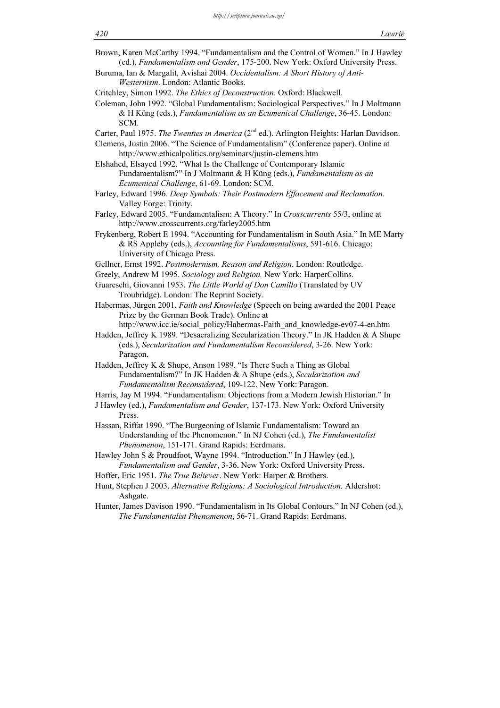420 Lawrie Brown, Karen McCarthy 1994. "Fundamentalism and the Control of Women." In J Hawley (ed.), Fundamentalism and Gender, 175-200. New York: Oxford University Press. Buruma, Ian & Margalit, Avishai 2004. Occidentalism: A Short History of Anti-Westernism. London: Atlantic Books. Critchley, Simon 1992. The Ethics of Deconstruction. Oxford: Blackwell. Coleman, John 1992. "Global Fundamentalism: Sociological Perspectives." In J Moltmann & H Küng (eds.), Fundamentalism as an Ecumenical Challenge, 36-45. London: SCM. Carter, Paul 1975. The Twenties in America (2<sup>nd</sup> ed.). Arlington Heights: Harlan Davidson. Clemens, Justin 2006. "The Science of Fundamentalism" (Conference paper). Online at http://www.ethicalpolitics.org/seminars/justin-clemens.htm Elshahed, Elsayed 1992. "What Is the Challenge of Contemporary Islamic Fundamentalism?" In J Moltmann & H Küng (eds.), Fundamentalism as an Ecumenical Challenge, 61-69. London: SCM. Farley, Edward 1996. Deep Symbols: Their Postmodern Effacement and Reclamation. Valley Forge: Trinity. Farley, Edward 2005. "Fundamentalism: A Theory." In Crosscurrents 55/3, online at http://www.crosscurrents.org/farley2005.htm Frykenberg, Robert E 1994. "Accounting for Fundamentalism in South Asia." In ME Marty & RS Appleby (eds.), Accounting for Fundamentalisms, 591-616. Chicago: University of Chicago Press. Gellner, Ernst 1992. Postmodernism, Reason and Religion. London: Routledge. Greely, Andrew M 1995. Sociology and Religion. New York: HarperCollins. Guareschi, Giovanni 1953. The Little World of Don Camillo (Translated by UV Troubridge). London: The Reprint Society. Habermas, Jürgen 2001. Faith and Knowledge (Speech on being awarded the 2001 Peace Prize by the German Book Trade). Online at http://www.icc.ie/social\_policy/Habermas-Faith\_and\_knowledge-ev07-4-en.htm Hadden, Jeffrey K 1989. "Desacralizing Secularization Theory." In JK Hadden & A Shupe (eds.), Secularization and Fundamentalism Reconsidered, 3-26. New York: Paragon. Hadden, Jeffrey K & Shupe, Anson 1989. "Is There Such a Thing as Global Fundamentalism?" In JK Hadden & A Shupe (eds.), Secularization and Fundamentalism Reconsidered, 109-122. New York: Paragon. Harris, Jay M 1994. "Fundamentalism: Objections from a Modern Jewish Historian." In J Hawley (ed.), Fundamentalism and Gender, 137-173. New York: Oxford University Press. Hassan, Riffat 1990. "The Burgeoning of Islamic Fundamentalism: Toward an Understanding of the Phenomenon." In NJ Cohen (ed.), The Fundamentalist Phenomenon, 151-171. Grand Rapids: Eerdmans. Hawley John S & Proudfoot, Wayne 1994. "Introduction." In J Hawley (ed.), Fundamentalism and Gender, 3-36. New York: Oxford University Press. Hoffer, Eric 1951. The True Believer. New York: Harper & Brothers. Hunt, Stephen J 2003. Alternative Religions: A Sociological Introduction. Aldershot: Ashgate. Hunter, James Davison 1990. "Fundamentalism in Its Global Contours." In NJ Cohen (ed.), The Fundamentalist Phenomenon, 56-71. Grand Rapids: Eerdmans.